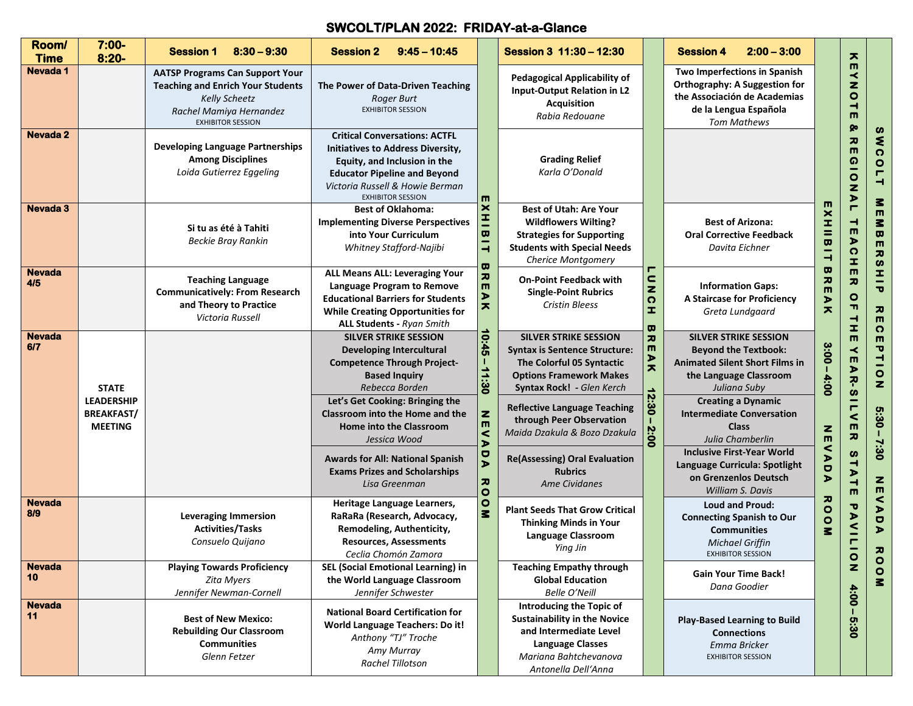## **SWCOLT/PLAN 2022: FRIDAY-at-a-Glance**

| Room/<br><b>Time</b> | $7:00 -$<br>$8:20 -$                                                     | $8:30 - 9:30$<br><b>Session 1</b>                                                                                                                                 | <b>Session 2</b><br>$9:45 - 10:45$                                                                                                                                                                                                                               |                                                                                               | Session 3 11:30 - 12:30                                                                                                                                                                                                                                                                                                      |                                                                                                                 | $2:00 - 3:00$<br><b>Session 4</b>                                                                                                                                                                                                                   |                                                                                                                                        | $\mathbf x$                                                                                            |                  |                  |
|----------------------|--------------------------------------------------------------------------|-------------------------------------------------------------------------------------------------------------------------------------------------------------------|------------------------------------------------------------------------------------------------------------------------------------------------------------------------------------------------------------------------------------------------------------------|-----------------------------------------------------------------------------------------------|------------------------------------------------------------------------------------------------------------------------------------------------------------------------------------------------------------------------------------------------------------------------------------------------------------------------------|-----------------------------------------------------------------------------------------------------------------|-----------------------------------------------------------------------------------------------------------------------------------------------------------------------------------------------------------------------------------------------------|----------------------------------------------------------------------------------------------------------------------------------------|--------------------------------------------------------------------------------------------------------|------------------|------------------|
| Nevada 1             |                                                                          | <b>AATSP Programs Can Support Your</b><br><b>Teaching and Enrich Your Students</b><br><b>Kelly Scheetz</b><br>Rachel Mamiya Hernandez<br><b>EXHIBITOR SESSION</b> | The Power of Data-Driven Teaching<br>Roger Burt<br><b>EXHIBITOR SESSION</b>                                                                                                                                                                                      |                                                                                               | <b>Pedagogical Applicability of</b><br><b>Input-Output Relation in L2</b><br><b>Acquisition</b><br>Rabia Redouane                                                                                                                                                                                                            |                                                                                                                 | Two Imperfections in Spanish<br>Orthography: A Suggestion for<br>the Associación de Academias<br>de la Lengua Española<br><b>Tom Mathews</b>                                                                                                        |                                                                                                                                        | $\blacksquare$<br>≺<br>z<br>$\circ$<br>ᅴ<br>$\blacksquare$<br>ହ                                        |                  |                  |
| Nevada 2             |                                                                          | <b>Developing Language Partnerships</b><br><b>Among Disciplines</b><br>Loida Gutierrez Eggeling                                                                   | <b>Critical Conversations: ACTFL</b><br>Initiatives to Address Diversity,<br>Equity, and Inclusion in the<br><b>Educator Pipeline and Beyond</b><br>Victoria Russell & Howie Berman<br><b>EXHIBITOR SESSION</b>                                                  | m                                                                                             | <b>Grading Relief</b><br>Karla O'Donald                                                                                                                                                                                                                                                                                      |                                                                                                                 |                                                                                                                                                                                                                                                     |                                                                                                                                        | 고<br>$\blacksquare$<br>$\Omega$<br>$\bullet$<br>z<br>$\blacktriangleright$                             |                  |                  |
| <b>Nevada 3</b>      |                                                                          | Si tu as été à Tahiti<br><b>Beckie Bray Rankin</b>                                                                                                                | $\pmb{\times}$<br><b>Best of Oklahoma:</b><br>$\equiv$<br><b>Implementing Diverse Perspectives</b><br>$\overline{a}$<br>into Your Curriculum<br>Whitney Stafford-Najibi<br>$\overline{\phantom{0}}$<br>$\mathbf{\overline{u}}$                                   |                                                                                               | <b>Best of Utah: Are Your</b><br><b>Wildflowers Wilting?</b><br><b>Strategies for Supporting</b><br><b>Students with Special Needs</b><br><b>Cherice Montgomery</b>                                                                                                                                                          |                                                                                                                 | <b>Best of Arizona:</b><br><b>Oral Corrective Feedback</b><br>Davita Eichner                                                                                                                                                                        | ш<br><b>XHIIBI</b><br>$\overline{\phantom{0}}$                                                                                         | $\blacksquare$<br>$\overline{\phantom{0}}$<br>$\blacksquare$<br>$\blacktriangleright$<br>$\Omega$<br>I |                  |                  |
| <b>Nevada</b><br>4/5 |                                                                          | <b>Teaching Language</b><br><b>Communicatively: From Research</b><br>and Theory to Practice<br>Victoria Russell                                                   | ALL Means ALL: Leveraging Your<br>Language Program to Remove<br><b>Educational Barriers for Students</b><br><b>While Creating Opportunities for</b><br><b>ALL Students - Ryan Smith</b>                                                                          | $\overline{\bm{z}}$<br>$\blacksquare$<br>$\blacktriangleright$<br>$\overline{\mathbf{x}}$     | <b>On-Point Feedback with</b><br><b>Single-Point Rubrics</b><br><b>Cristin Bleess</b>                                                                                                                                                                                                                                        | г<br>$\frac{c}{z}$<br>$\Omega$<br>I<br>ω                                                                        | <b>Information Gaps:</b><br>A Staircase for Proficiency<br>Greta Lundgaard                                                                                                                                                                          | $\mathbf{\sigma}$<br>$\frac{1}{2}$<br>⋗<br>$\overline{\mathbf{x}}$                                                                     | $\blacksquare$<br>カ<br>$\frac{1}{1}$<br>$\vec{r}$                                                      | z<br>O           |                  |
| <b>Nevada</b><br>6/7 | <b>STATE</b><br><b>LEADERSHIP</b><br><b>BREAKFAST/</b><br><b>MEETING</b> |                                                                                                                                                                   | <b>SILVER STRIKE SESSION</b><br><b>Developing Intercultural</b><br><b>Competence Through Project-</b><br><b>Based Inquiry</b><br>Rebecca Borden<br>Let's Get Cooking: Bringing the<br>Classroom into the Home and the<br>Home into the Classroom<br>Jessica Wood | 10:45<br>T.<br>$-11:30$<br>$\mathbf{z}$<br>$\blacksquare$<br>$\prec$<br>$\blacktriangleright$ | <b>SILVER STRIKE SESSION</b><br>カ<br>m<br><b>Syntax is Sentence Structure:</b><br>$\blacktriangleright$<br>The Colorful 05 Syntactic<br>ㅈ<br><b>Options Framework Makes</b><br>Syntax Rock! - Glen Kerch<br>12:30<br><b>Reflective Language Teaching</b><br>through Peer Observation<br>2:00<br>Maida Dzakula & Bozo Dzakula |                                                                                                                 | <b>SILVER STRIKE SESSION</b><br><b>Beyond the Textbook:</b><br><b>Animated Silent Short Films in</b><br>the Language Classroom<br>Juliana Suby<br><b>Creating a Dynamic</b><br><b>Intermediate Conversation</b><br><b>Class</b><br>Julia Chamberlin | 3:00<br>4:00<br>$\frac{z}{m}$<br>$\prec$                                                                                               | $\blacksquare$<br>$\leq$<br><b>AR-SIL</b><br>$\,<$<br>$\blacksquare$<br>$\pmb{\pi}$                    |                  |                  |
|                      |                                                                          |                                                                                                                                                                   | Awards for All: National Spanish<br><b>Exams Prizes and Scholarships</b><br>Lisa Greenman                                                                                                                                                                        | DA<br>$\overline{\bm{x}}$<br>$\circ$                                                          | <b>Re(Assessing) Oral Evaluation</b><br><b>Rubrics</b><br><b>Ame Cividanes</b>                                                                                                                                                                                                                                               |                                                                                                                 | <b>Inclusive First-Year World</b><br>Language Curricula: Spotlight<br>on Grenzenlos Deutsch<br>William S. Davis                                                                                                                                     | $\blacktriangleright$<br>$\bullet$<br>$\blacktriangleright$                                                                            | S<br>$\overline{\phantom{0}}$<br>$\blacktriangleright$<br>$\overline{\phantom{0}}$<br>$\blacksquare$   | z                |                  |
| <b>Nevada</b><br>8/9 |                                                                          | <b>Leveraging Immersion</b><br><b>Activities/Tasks</b><br>Consuelo Quijano                                                                                        | Heritage Language Learners,<br>RaRaRa (Research, Advocacy,<br>Remodeling, Authenticity,<br><b>Resources, Assessments</b><br>Ceclia Chomón Zamora                                                                                                                 | $\circ$<br>$\mathbf{z}$                                                                       |                                                                                                                                                                                                                                                                                                                              | <b>Plant Seeds That Grow Critical</b><br><b>Thinking Minds in Your</b><br><b>Language Classroom</b><br>Ying Jin |                                                                                                                                                                                                                                                     | <b>Loud and Proud:</b><br><b>Connecting Spanish to Our</b><br><b>Communities</b><br><b>Michael Griffin</b><br><b>EXHIBITOR SESSION</b> | ᅎ<br>$\bullet$<br>$\bullet$<br>z                                                                       | P<br><b>AVIL</b> | U<br>ъ<br>z<br>e |
| <b>Nevada</b><br>10  |                                                                          | <b>Playing Towards Proficiency</b><br><b>Zita Myers</b><br>Jennifer Newman-Cornell                                                                                | SEL (Social Emotional Learning) in<br>the World Language Classroom<br>Jennifer Schwester                                                                                                                                                                         |                                                                                               | <b>Teaching Empathy through</b><br><b>Global Education</b><br><b>Belle O'Neill</b>                                                                                                                                                                                                                                           |                                                                                                                 | <b>Gain Your Time Back!</b><br>Dana Goodier                                                                                                                                                                                                         |                                                                                                                                        | $\mathbf{z}$<br>4:00                                                                                   |                  |                  |
| <b>Nevada</b><br>11  |                                                                          | <b>Best of New Mexico:</b><br><b>Rebuilding Our Classroom</b><br><b>Communities</b><br>Glenn Fetzer                                                               | <b>National Board Certification for</b><br><b>World Language Teachers: Do it!</b><br>Anthony "TJ" Troche<br>Amy Murray<br>Rachel Tillotson                                                                                                                       |                                                                                               | <b>Introducing the Topic of</b><br><b>Sustainability in the Novice</b><br>and Intermediate Level<br><b>Language Classes</b><br>Mariana Bahtchevanova<br>Antonella Dell'Anna                                                                                                                                                  |                                                                                                                 | <b>Play-Based Learning to Build</b><br><b>Connections</b><br>Emma Bricker<br><b>EXHIBITOR SESSION</b>                                                                                                                                               |                                                                                                                                        | 03:30                                                                                                  |                  |                  |